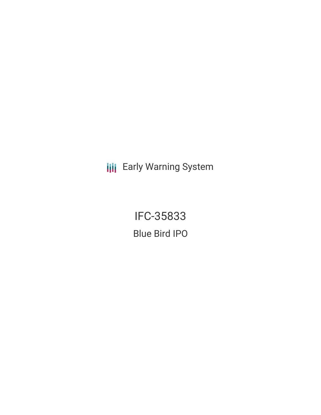**III** Early Warning System

IFC-35833 Blue Bird IPO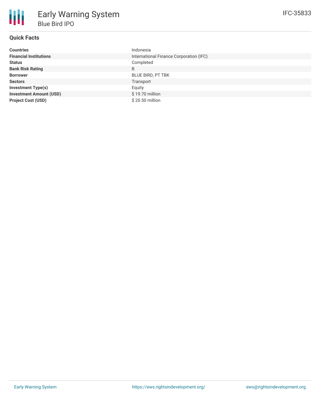| <b>Countries</b>               | Indonesia                               |
|--------------------------------|-----------------------------------------|
| <b>Financial Institutions</b>  | International Finance Corporation (IFC) |
| <b>Status</b>                  | Completed                               |
| <b>Bank Risk Rating</b>        | B                                       |
| <b>Borrower</b>                | <b>BLUE BIRD, PT TBK</b>                |
| <b>Sectors</b>                 | Transport                               |
| <b>Investment Type(s)</b>      | Equity                                  |
| <b>Investment Amount (USD)</b> | \$19.70 million                         |
| <b>Project Cost (USD)</b>      | \$20.50 million                         |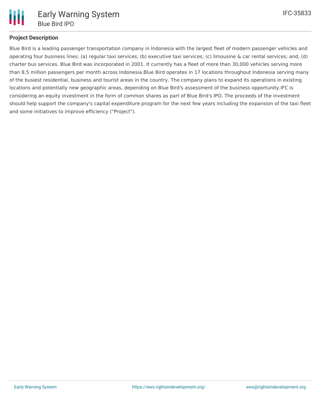

## **Project Description**

Blue Bird is a leading passenger transportation company in Indonesia with the largest fleet of modern passenger vehicles and operating four business lines: (a) regular taxi services; (b) executive taxi services; (c) limousine & car rental services; and, (d) charter bus services. Blue Bird was incorporated in 2001. It currently has a fleet of more than 30,000 vehicles serving more than 8.5 million passengers per month across Indonesia.Blue Bird operates in 17 locations throughout Indonesia serving many of the busiest residential, business and tourist areas in the country. The company plans to expand its operations in existing locations and potentially new geographic areas, depending on Blue Bird's assessment of the business opportunity.IFC is considering an equity investment in the form of common shares as part of Blue Bird's IPO. The proceeds of the investment should help support the company's capital expenditure program for the next few years including the expansion of the taxi fleet and some initiatives to improve efficiency ("Project").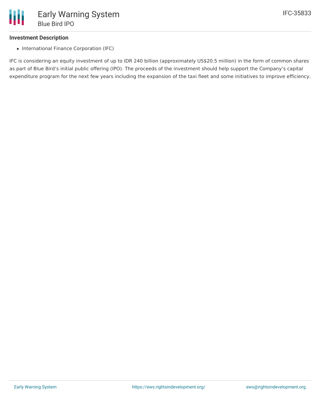## **Investment Description**

• International Finance Corporation (IFC)

IFC is considering an equity investment of up to IDR 240 billion (approximately US\$20.5 million) in the form of common shares as part of Blue Bird's initial public offering (IPO). The proceeds of the investment should help support the Company's capital expenditure program for the next few years including the expansion of the taxi fleet and some initiatives to improve efficiency.